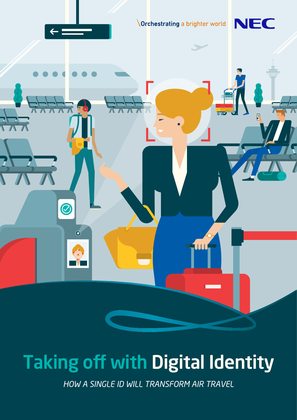

# Taking off with Digital Identity

*HOW A SINGLE ID WILL TRANSFORM AIR TRAVEL*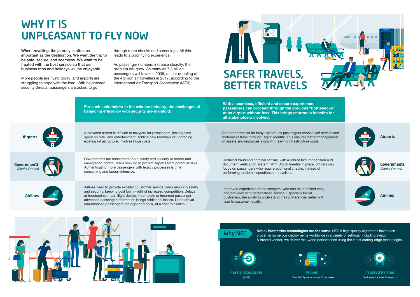





Why NEC

(NIST) **Fast and accurate** Deployment at over 25 Airports **Trusted Partner**







**Not all biometrics technologies are the same.** NEC's high-quality algorithms have been proven in numerous deployments worldwide in a variety of settings, including aviation. A trusted vendor, we deliver real-world performance using the latest cutting-edge technologies.



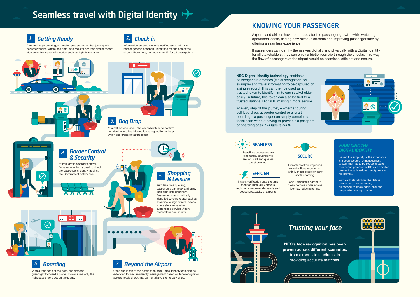Repetitive processes are eliminated, touchpoints are reduced and queues are shortened.

Instant verification cuts the time spent on manual ID checks, reducing manpower demands and boosting capacity at airports.

# **SECURE**

Biometrics offers improved security. Face recognition with liveness detection now spots spoofing.

One ID makes it harder to cross borders under a false identity, reducing crime.







## KNOWING YOUR PASSENGER

Airports and airlines have to be ready for the passenger growth, while watching operational costs, finding new revenue streams and improving passenger flow by offering a seamless experience.

If passengers can identify themselves digitally and physically with a Digital Identity for all stakeholders, they can enjoy a frictionless trip through the checks. This way, the flow of passengers at the airport would be seamless, efficient and secure.

#### **NEC Digital Identity technology** enables a

passenger's biometrics (facial recognition, for example) and travel information to be captured on a single record. This can then be used as a trusted token to identify him to each stakeholder easily. In future, this token can also be tied to a trusted National Digital ID making it more secure.

At every step of the journey – whether during self-bag-drop, at border control or aircraft boarding – a passenger can simply complete a facial scan without having to provide his passport or boarding pass. *His face is his ID.*

# Seamless travel with Digital Identity  $\rightarrow$

*1. Getting Ready*



#### *Border Control & Security 4.*

### *Shopping & Leisure 5.*

#### *3. Bag Drop*



After making a booking, a traveller gets started on her journey with her smartphone, where she opts-in to register her face and passport along with her travel information such as flight information.



With a face scan at the gate, she gets the greenlight to board a plane. This ensures only the right passengers get on the plane.



Once she lands at the destination, this Digital Identity can also be extended for secure identity management based on face recognition across hotels check-ins, car rental and theme park entry.

With less time queuing, passengers can relax and enjoy their time until departure. Passenger is automatically identified when she approaches an airline lounge or retail shops, where she can receive customised service. Again, no need for documents.

Information entered earlier is verified along with the passenger and passport using face recognition at the airport. From here, her face is her ID for all checkpoints.



At a self-service kiosk, she scans her face to confirm her identity and the information is tagged to her bags. which she drops off at the kiosk.



Behind the simplicity of the experience is a sophisticated ID management system that has to be set up to store, secure and process the IDs as a traveller passes through various checkpoints in his journey.

With each stakeholder, the data is shared on a need-to-know, authorised-to-know basis, ensuring the private data is protected.

## *MANAGING THE*

At immigration/border control, facial recognition is used to check the passenger's identity against the Government databases.